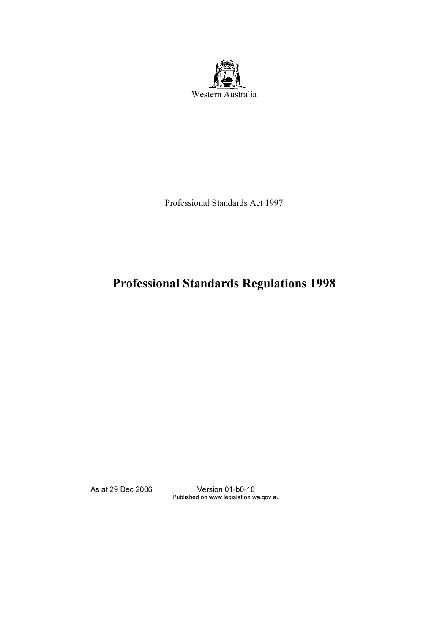

Professional Standards Act 1997

# Professional Standards Regulations 1998

As at 29 Dec 2006 Version 01-b0-10 Published on www.legislation.wa.gov.au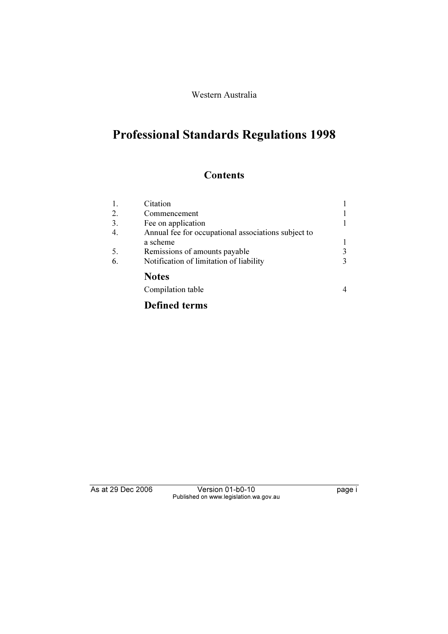#### Western Australia

# Professional Standards Regulations 1998

## **Contents**

| 1. | Citation                                            |   |
|----|-----------------------------------------------------|---|
| 2. | Commencement                                        |   |
| 3. | Fee on application                                  |   |
| 4. | Annual fee for occupational associations subject to |   |
|    | a scheme                                            |   |
| 5. | Remissions of amounts payable                       | 3 |
| 6. | Notification of limitation of liability             |   |
|    | <b>Notes</b>                                        |   |
|    | Compilation table                                   |   |
|    |                                                     |   |

## Defined terms

As at 29 Dec 2006 Version 01-b0-10 Page i Published on www.legislation.wa.gov.au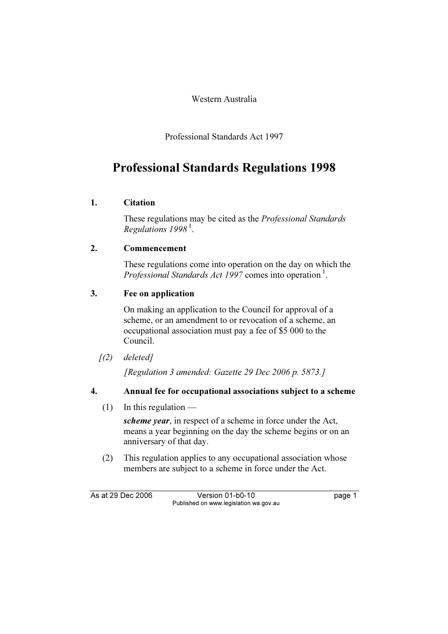Western Australia

Professional Standards Act 1997

# Professional Standards Regulations 1998

## 1. Citation

 These regulations may be cited as the Professional Standards Regulations  $1998<sup>1</sup>$ .

## 2. Commencement

 These regulations come into operation on the day on which the *Professional Standards Act 1997* comes into operation<sup>1</sup>.

### 3. Fee on application

 On making an application to the Council for approval of a scheme, or an amendment to or revocation of a scheme, an occupational association must pay a fee of \$5 000 to the Council.

 $(2)$  deleted]

[Regulation 3 amended: Gazette 29 Dec 2006 p. 5873.]

## 4. Annual fee for occupational associations subject to a scheme

 $(1)$  In this regulation —

scheme year, in respect of a scheme in force under the Act, means a year beginning on the day the scheme begins or on an anniversary of that day.

 (2) This regulation applies to any occupational association whose members are subject to a scheme in force under the Act.

As at 29 Dec 2006 Version 01-b0-10 page 1 Published on www.legislation.wa.gov.au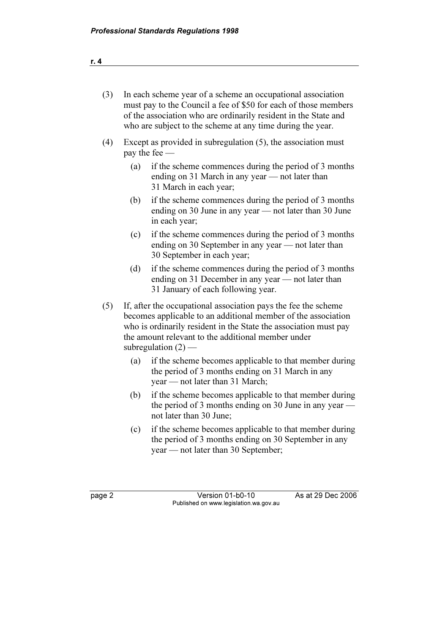| (3) | In each scheme year of a scheme an occupational association<br>must pay to the Council a fee of \$50 for each of those members<br>of the association who are ordinarily resident in the State and<br>who are subject to the scheme at any time during the year. |                                                                                                                                                                                                                                                                                    |  |  |  |  |
|-----|-----------------------------------------------------------------------------------------------------------------------------------------------------------------------------------------------------------------------------------------------------------------|------------------------------------------------------------------------------------------------------------------------------------------------------------------------------------------------------------------------------------------------------------------------------------|--|--|--|--|
| (4) |                                                                                                                                                                                                                                                                 | Except as provided in subregulation (5), the association must<br>pay the fee —                                                                                                                                                                                                     |  |  |  |  |
|     | (a)                                                                                                                                                                                                                                                             | if the scheme commences during the period of 3 months<br>ending on 31 March in any year — not later than<br>31 March in each year;                                                                                                                                                 |  |  |  |  |
|     | (b)                                                                                                                                                                                                                                                             | if the scheme commences during the period of 3 months<br>ending on 30 June in any year — not later than 30 June<br>in each year;                                                                                                                                                   |  |  |  |  |
|     | (c)                                                                                                                                                                                                                                                             | if the scheme commences during the period of 3 months<br>ending on 30 September in any year — not later than<br>30 September in each year;                                                                                                                                         |  |  |  |  |
|     | (d)                                                                                                                                                                                                                                                             | if the scheme commences during the period of 3 months<br>ending on 31 December in any year — not later than<br>31 January of each following year.                                                                                                                                  |  |  |  |  |
| (5) |                                                                                                                                                                                                                                                                 | If, after the occupational association pays the fee the scheme<br>becomes applicable to an additional member of the association<br>who is ordinarily resident in the State the association must pay<br>the amount relevant to the additional member under<br>subregulation $(2)$ — |  |  |  |  |
|     | (a)                                                                                                                                                                                                                                                             | if the scheme becomes applicable to that member during<br>the period of 3 months ending on 31 March in any<br>year — not later than 31 March;                                                                                                                                      |  |  |  |  |
|     | (b)                                                                                                                                                                                                                                                             | if the scheme becomes applicable to that member during<br>the period of 3 months ending on 30 June in any year -<br>not later than 30 June;                                                                                                                                        |  |  |  |  |

 (c) if the scheme becomes applicable to that member during the period of 3 months ending on 30 September in any year — not later than 30 September;

page 2 Version 01-b0-10 As at 29 Dec 2006 Published on www.legislation.wa.gov.au

|--|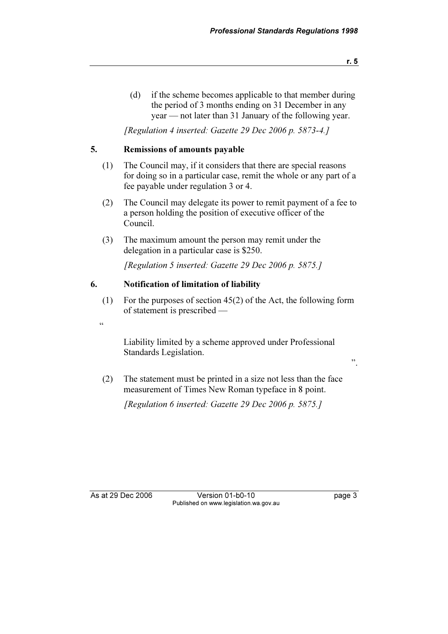(d) if the scheme becomes applicable to that member during the period of 3 months ending on 31 December in any year — not later than 31 January of the following year.

[Regulation 4 inserted: Gazette 29 Dec 2006 p. 5873-4.]

#### 5. Remissions of amounts payable

- (1) The Council may, if it considers that there are special reasons for doing so in a particular case, remit the whole or any part of a fee payable under regulation 3 or 4.
- (2) The Council may delegate its power to remit payment of a fee to a person holding the position of executive officer of the Council.
- (3) The maximum amount the person may remit under the delegation in a particular case is \$250.

[Regulation 5 inserted: Gazette 29 Dec 2006 p. 5875.]

#### 6. Notification of limitation of liability

- (1) For the purposes of section 45(2) of the Act, the following form of statement is prescribed —
- $\ddot{\phantom{0}}$

 Liability limited by a scheme approved under Professional Standards Legislation.

- ".
- (2) The statement must be printed in a size not less than the face measurement of Times New Roman typeface in 8 point.

[Regulation 6 inserted: Gazette 29 Dec 2006 p. 5875.]

As at 29 Dec 2006 Version 01-b0-10 page 3 Published on www.legislation.wa.gov.au

r. 5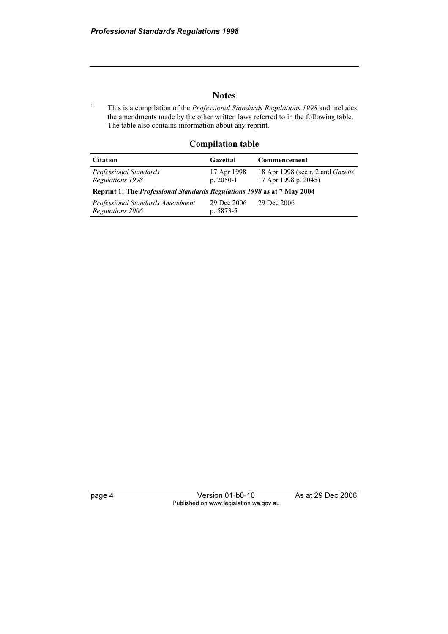#### **Notes**

1 This is a compilation of the Professional Standards Regulations 1998 and includes the amendments made by the other written laws referred to in the following table. The table also contains information about any reprint.

#### Compilation table

| <b>Citation</b>                                                                | Gazettal                   | Commencement                                                     |  |  |  |  |  |  |
|--------------------------------------------------------------------------------|----------------------------|------------------------------------------------------------------|--|--|--|--|--|--|
| Professional Standards<br>Regulations 1998                                     | 17 Apr 1998<br>$p. 2050-1$ | 18 Apr 1998 (see r. 2 and <i>Gazette</i><br>17 Apr 1998 p. 2045) |  |  |  |  |  |  |
| Reprint 1: The <i>Professional Standards Regulations 1998</i> as at 7 May 2004 |                            |                                                                  |  |  |  |  |  |  |
| Professional Standards Amendment<br>Regulations 2006                           | 29 Dec 2006<br>$p. 5873-5$ | 29 Dec 2006                                                      |  |  |  |  |  |  |

page 4 Version 01-b0-10 As at 29 Dec 2006 Published on www.legislation.wa.gov.au